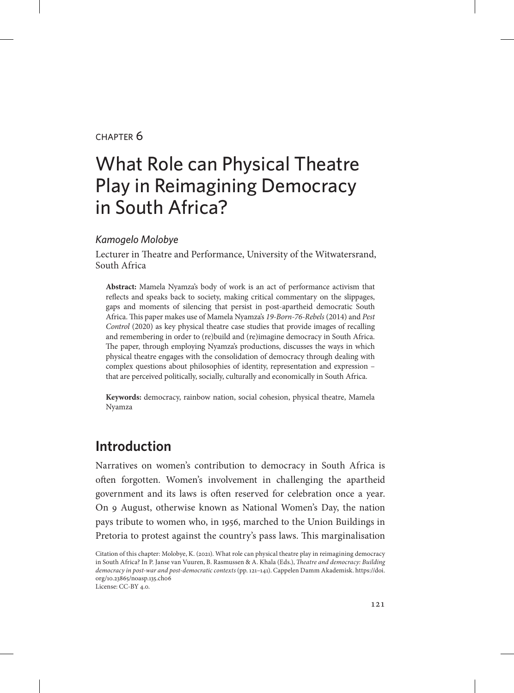#### chapter 6

# What Role can Physical Theatre Play in Reimagining Democracy in South Africa?

#### *Kamogelo Molobye*

Lecturer in Theatre and Performance, University of the Witwatersrand, South Africa

**Abstract:** Mamela Nyamza's body of work is an act of performance activism that reflects and speaks back to society, making critical commentary on the slippages, gaps and moments of silencing that persist in post-apartheid democratic South Africa. This paper makes use of Mamela Nyamza's *19-Born-76-Rebels* (2014) and *Pest Control* (2020) as key physical theatre case studies that provide images of recalling and remembering in order to (re)build and (re)imagine democracy in South Africa. The paper, through employing Nyamza's productions, discusses the ways in which physical theatre engages with the consolidation of democracy through dealing with complex questions about philosophies of identity, representation and expression – that are perceived politically, socially, culturally and economically in South Africa.

**Keywords:** democracy, rainbow nation, social cohesion, physical theatre, Mamela Nyamza

# **Introduction**

Narratives on women's contribution to democracy in South Africa is often forgotten. Women's involvement in challenging the apartheid government and its laws is often reserved for celebration once a year. On 9 August, otherwise known as National Women's Day, the nation pays tribute to women who, in 1956, marched to the Union Buildings in Pretoria to protest against the country's pass laws. This marginalisation

Citation of this chapter: Molobye, K. (2021). What role can physical theatre play in reimagining democracy in South Africa? In P. Janse van Vuuren, B. Rasmussen & A. Khala (Eds.), *Theatre and democracy: Building democracy in post-war and post-democratic contexts* (pp. 121–141). Cappelen Damm Akademisk. [https://doi.](https://doi.org/10.23865/noasp.135.ch06) [org/10.23865/noasp.135.ch06](https://doi.org/10.23865/noasp.135.ch06) License: CC-BY 4.0.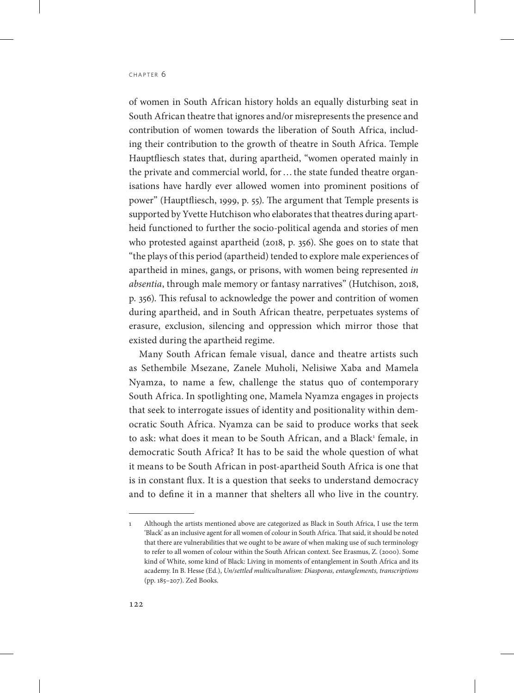of women in South African history holds an equally disturbing seat in South African theatre that ignores and/or misrepresents the presence and contribution of women towards the liberation of South Africa, including their contribution to the growth of theatre in South Africa. Temple Hauptfliesch states that, during apartheid, "women operated mainly in the private and commercial world, for…the state funded theatre organisations have hardly ever allowed women into prominent positions of power" (Hauptfliesch, 1999, p. 55). The argument that Temple presents is supported by Yvette Hutchison who elaborates that theatres during apartheid functioned to further the socio-political agenda and stories of men who protested against apartheid (2018, p. 356). She goes on to state that "the plays of this period (apartheid) tended to explore male experiences of apartheid in mines, gangs, or prisons, with women being represented *in absentia*, through male memory or fantasy narratives" (Hutchison, 2018, p. 356). This refusal to acknowledge the power and contrition of women during apartheid, and in South African theatre, perpetuates systems of erasure, exclusion, silencing and oppression which mirror those that existed during the apartheid regime.

Many South African female visual, dance and theatre artists such as Sethembile Msezane, Zanele Muholi, Nelisiwe Xaba and Mamela Nyamza, to name a few, challenge the status quo of contemporary South Africa. In spotlighting one, Mamela Nyamza engages in projects that seek to interrogate issues of identity and positionality within democratic South Africa. Nyamza can be said to produce works that seek to ask: what does it mean to be South African, and a Black<sup>1</sup> female, in democratic South Africa? It has to be said the whole question of what it means to be South African in post-apartheid South Africa is one that is in constant flux. It is a question that seeks to understand democracy and to define it in a manner that shelters all who live in the country.

<sup>1</sup> Although the artists mentioned above are categorized as Black in South Africa, I use the term 'Black' as an inclusive agent for all women of colour in South Africa. That said, it should be noted that there are vulnerabilities that we ought to be aware of when making use of such terminology to refer to all women of colour within the South African context. See Erasmus, Z. (2000). Some kind of White, some kind of Black: Living in moments of entanglement in South Africa and its academy. In B. Hesse (Ed.), *Un/settled multiculturalism: Diasporas, entanglements, transcriptions* (pp. 185–207). Zed Books.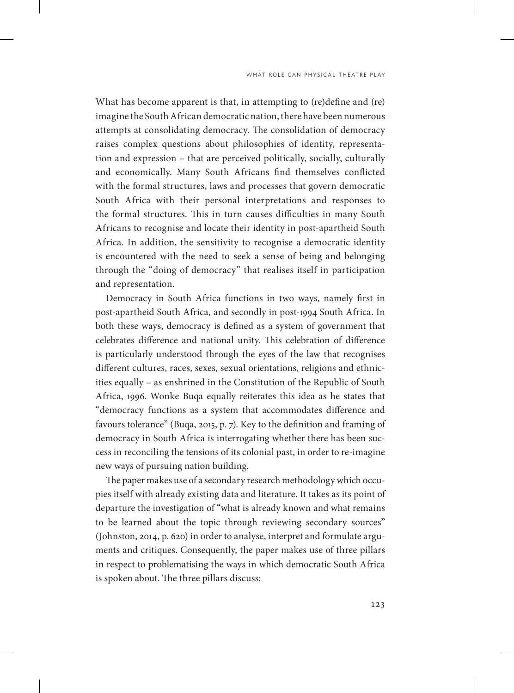What has become apparent is that, in attempting to (re)define and (re) imagine the South African democratic nation, there have been numerous attempts at consolidating democracy. The consolidation of democracy raises complex questions about philosophies of identity, representation and expression – that are perceived politically, socially, culturally and economically. Many South Africans find themselves conflicted with the formal structures, laws and processes that govern democratic South Africa with their personal interpretations and responses to the formal structures. This in turn causes difficulties in many South Africans to recognise and locate their identity in post-apartheid South Africa. In addition, the sensitivity to recognise a democratic identity is encountered with the need to seek a sense of being and belonging through the "doing of democracy" that realises itself in participation and representation.

Democracy in South Africa functions in two ways, namely first in post-apartheid South Africa, and secondly in post-1994 South Africa. In both these ways, democracy is defined as a system of government that celebrates difference and national unity. This celebration of difference is particularly understood through the eyes of the law that recognises different cultures, races, sexes, sexual orientations, religions and ethnicities equally – as enshrined in the Constitution of the Republic of South Africa, 1996. Wonke Buqa equally reiterates this idea as he states that "democracy functions as a system that accommodates difference and favours tolerance" (Buqa, 2015, p. 7). Key to the definition and framing of democracy in South Africa is interrogating whether there has been success in reconciling the tensions of its colonial past, in order to re-imagine new ways of pursuing nation building.

The paper makes use of a secondary research methodology which occupies itself with already existing data and literature. It takes as its point of departure the investigation of "what is already known and what remains to be learned about the topic through reviewing secondary sources" (Johnston, 2014, p. 620) in order to analyse, interpret and formulate arguments and critiques. Consequently, the paper makes use of three pillars in respect to problematising the ways in which democratic South Africa is spoken about. The three pillars discuss: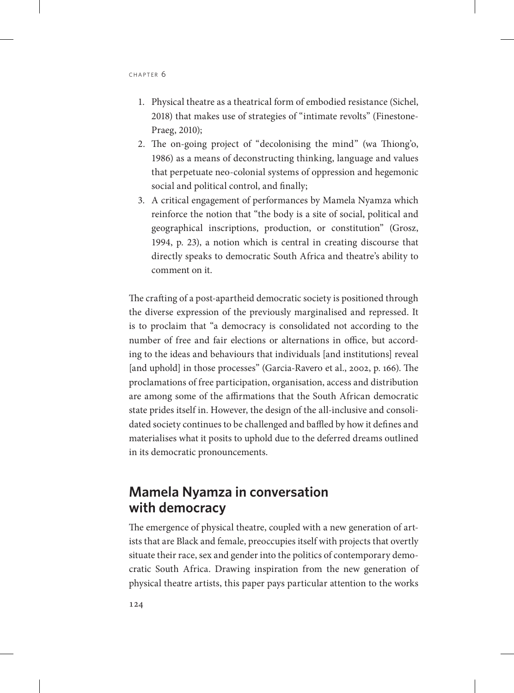- 1. Physical theatre as a theatrical form of embodied resistance (Sichel, 2018) that makes use of strategies of "intimate revolts" (Finestone-Praeg, 2010);
- 2. The on-going project of "decolonising the mind" (wa Thiong'o, 1986) as a means of deconstructing thinking, language and values that perpetuate neo-colonial systems of oppression and hegemonic social and political control, and finally;
- 3. A critical engagement of performances by Mamela Nyamza which reinforce the notion that "the body is a site of social, political and geographical inscriptions, production, or constitution" (Grosz, 1994, p. 23), a notion which is central in creating discourse that directly speaks to democratic South Africa and theatre's ability to comment on it.

The crafting of a post-apartheid democratic society is positioned through the diverse expression of the previously marginalised and repressed. It is to proclaim that "a democracy is consolidated not according to the number of free and fair elections or alternations in office, but according to the ideas and behaviours that individuals [and institutions] reveal [and uphold] in those processes" (Garcia-Ravero et al., 2002, p. 166). The proclamations of free participation, organisation, access and distribution are among some of the affirmations that the South African democratic state prides itself in. However, the design of the all-inclusive and consolidated society continues to be challenged and baffled by how it defines and materialises what it posits to uphold due to the deferred dreams outlined in its democratic pronouncements.

# **Mamela Nyamza in conversation with democracy**

The emergence of physical theatre, coupled with a new generation of artists that are Black and female, preoccupies itself with projects that overtly situate their race, sex and gender into the politics of contemporary democratic South Africa. Drawing inspiration from the new generation of physical theatre artists, this paper pays particular attention to the works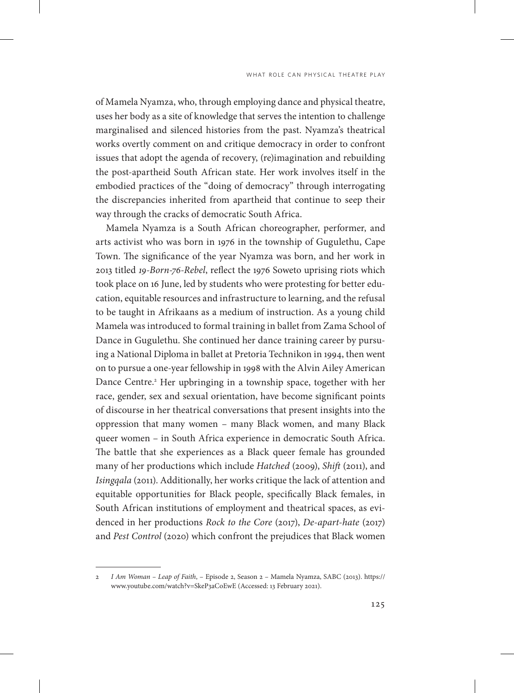of Mamela Nyamza, who, through employing dance and physical theatre, uses her body as a site of knowledge that serves the intention to challenge marginalised and silenced histories from the past. Nyamza's theatrical works overtly comment on and critique democracy in order to confront issues that adopt the agenda of recovery, (re)imagination and rebuilding the post-apartheid South African state. Her work involves itself in the embodied practices of the "doing of democracy" through interrogating the discrepancies inherited from apartheid that continue to seep their way through the cracks of democratic South Africa.

Mamela Nyamza is a South African choreographer, performer, and arts activist who was born in 1976 in the township of Gugulethu, Cape Town. The significance of the year Nyamza was born, and her work in 2013 titled *19-Born-76-Rebel*, reflect the 1976 Soweto uprising riots which took place on 16 June, led by students who were protesting for better education, equitable resources and infrastructure to learning, and the refusal to be taught in Afrikaans as a medium of instruction. As a young child Mamela was introduced to formal training in ballet from Zama School of Dance in Gugulethu. She continued her dance training career by pursuing a National Diploma in ballet at Pretoria Technikon in 1994, then went on to pursue a one-year fellowship in 1998 with the Alvin Ailey American Dance Centre.<sup>2</sup> Her upbringing in a township space, together with her race, gender, sex and sexual orientation, have become significant points of discourse in her theatrical conversations that present insights into the oppression that many women – many Black women, and many Black queer women – in South Africa experience in democratic South Africa. The battle that she experiences as a Black queer female has grounded many of her productions which include *Hatched* (2009), *Shift* (2011), and *Isingqala* (2011). Additionally, her works critique the lack of attention and equitable opportunities for Black people, specifically Black females, in South African institutions of employment and theatrical spaces, as evidenced in her productions *Rock to the Core* (2017), *De-apart-hate* (2017) and *Pest Control* (2020) which confront the prejudices that Black women

<sup>2</sup> *I Am Woman – Leap of Faith*, – Episode 2, Season 2 – Mamela Nyamza, SABC (2013). https:// www.youtube.com/watch?v=SkeP3aCoEwE (Accessed: 13 February 2021).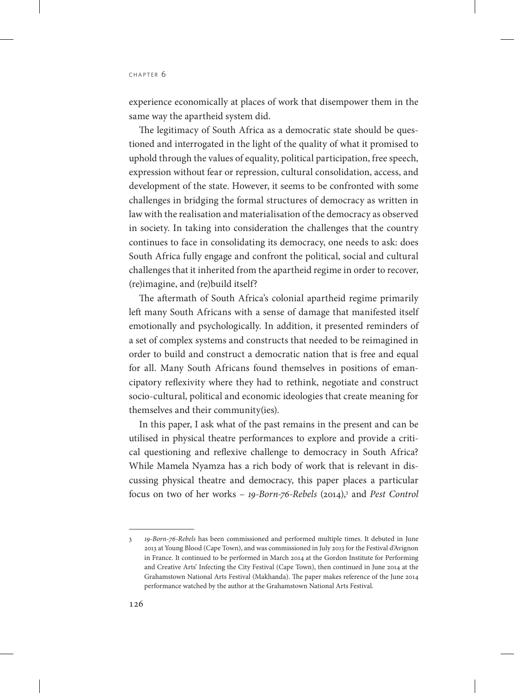experience economically at places of work that disempower them in the same way the apartheid system did.

The legitimacy of South Africa as a democratic state should be questioned and interrogated in the light of the quality of what it promised to uphold through the values of equality, political participation, free speech, expression without fear or repression, cultural consolidation, access, and development of the state. However, it seems to be confronted with some challenges in bridging the formal structures of democracy as written in law with the realisation and materialisation of the democracy as observed in society. In taking into consideration the challenges that the country continues to face in consolidating its democracy, one needs to ask: does South Africa fully engage and confront the political, social and cultural challenges that it inherited from the apartheid regime in order to recover, (re)imagine, and (re)build itself?

The aftermath of South Africa's colonial apartheid regime primarily left many South Africans with a sense of damage that manifested itself emotionally and psychologically. In addition, it presented reminders of a set of complex systems and constructs that needed to be reimagined in order to build and construct a democratic nation that is free and equal for all. Many South Africans found themselves in positions of emancipatory reflexivity where they had to rethink, negotiate and construct socio-cultural, political and economic ideologies that create meaning for themselves and their community(ies).

In this paper, I ask what of the past remains in the present and can be utilised in physical theatre performances to explore and provide a critical questioning and reflexive challenge to democracy in South Africa? While Mamela Nyamza has a rich body of work that is relevant in discussing physical theatre and democracy, this paper places a particular focus on two of her works – 19-Born-76-Rebels (2014),<sup>3</sup> and *Pest Control* 

<sup>3</sup> *19-Born-76-Rebels* has been commissioned and performed multiple times. It debuted in June 2013 at Young Blood (Cape Town), and was commissioned in July 2013 for the Festival d'Avignon in France. It continued to be performed in March 2014 at the Gordon Institute for Performing and Creative Arts' Infecting the City Festival (Cape Town), then continued in June 2014 at the Grahamstown National Arts Festival (Makhanda). The paper makes reference of the June 2014 performance watched by the author at the Grahamstown National Arts Festival.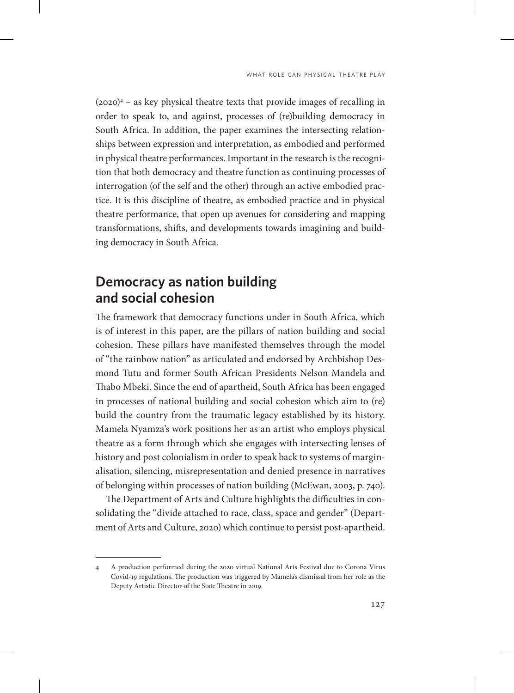(2020)4 – as key physical theatre texts that provide images of recalling in order to speak to, and against, processes of (re)building democracy in South Africa. In addition, the paper examines the intersecting relationships between expression and interpretation, as embodied and performed in physical theatre performances. Important in the research is the recognition that both democracy and theatre function as continuing processes of interrogation (of the self and the other) through an active embodied practice. It is this discipline of theatre, as embodied practice and in physical theatre performance, that open up avenues for considering and mapping transformations, shifts, and developments towards imagining and building democracy in South Africa.

## **Democracy as nation building and social cohesion**

The framework that democracy functions under in South Africa, which is of interest in this paper, are the pillars of nation building and social cohesion. These pillars have manifested themselves through the model of "the rainbow nation" as articulated and endorsed by Archbishop Desmond Tutu and former South African Presidents Nelson Mandela and Thabo Mbeki. Since the end of apartheid, South Africa has been engaged in processes of national building and social cohesion which aim to (re) build the country from the traumatic legacy established by its history. Mamela Nyamza's work positions her as an artist who employs physical theatre as a form through which she engages with intersecting lenses of history and post colonialism in order to speak back to systems of marginalisation, silencing, misrepresentation and denied presence in narratives of belonging within processes of nation building (McEwan, 2003, p. 740).

The Department of Arts and Culture highlights the difficulties in consolidating the "divide attached to race, class, space and gender" (Department of Arts and Culture, 2020) which continue to persist post-apartheid.

<sup>4</sup> A production performed during the 2020 virtual National Arts Festival due to Corona Virus Covid-19 regulations. The production was triggered by Mamela's dismissal from her role as the Deputy Artistic Director of the State Theatre in 2019.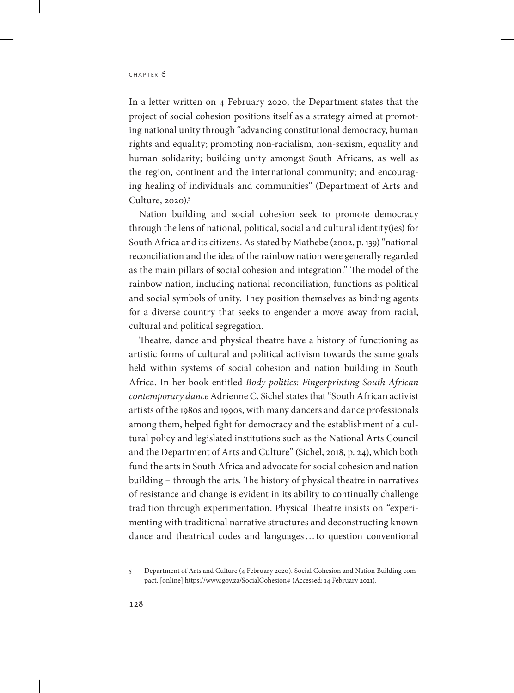In a letter written on 4 February 2020, the Department states that the project of social cohesion positions itself as a strategy aimed at promoting national unity through "advancing constitutional democracy, human rights and equality; promoting non-racialism, non-sexism, equality and human solidarity; building unity amongst South Africans, as well as the region, continent and the international community; and encouraging healing of individuals and communities" (Department of Arts and Culture,  $2020$ <sup>5</sup>

Nation building and social cohesion seek to promote democracy through the lens of national, political, social and cultural identity(ies) for South Africa and its citizens. As stated by Mathebe (2002, p. 139) "national reconciliation and the idea of the rainbow nation were generally regarded as the main pillars of social cohesion and integration." The model of the rainbow nation, including national reconciliation, functions as political and social symbols of unity. They position themselves as binding agents for a diverse country that seeks to engender a move away from racial, cultural and political segregation.

Theatre, dance and physical theatre have a history of functioning as artistic forms of cultural and political activism towards the same goals held within systems of social cohesion and nation building in South Africa. In her book entitled *Body politics: Fingerprinting South African contemporary dance* Adrienne C. Sichel states that "South African activist artists of the 1980s and 1990s, with many dancers and dance professionals among them, helped fight for democracy and the establishment of a cultural policy and legislated institutions such as the National Arts Council and the Department of Arts and Culture" (Sichel, 2018, p. 24), which both fund the arts in South Africa and advocate for social cohesion and nation building – through the arts. The history of physical theatre in narratives of resistance and change is evident in its ability to continually challenge tradition through experimentation. Physical Theatre insists on "experimenting with traditional narrative structures and deconstructing known dance and theatrical codes and languages…to question conventional

<sup>5</sup> Department of Arts and Culture (4 February 2020). Social Cohesion and Nation Building compact. [online] https://www.gov.za/SocialCohesion# (Accessed: 14 February 2021).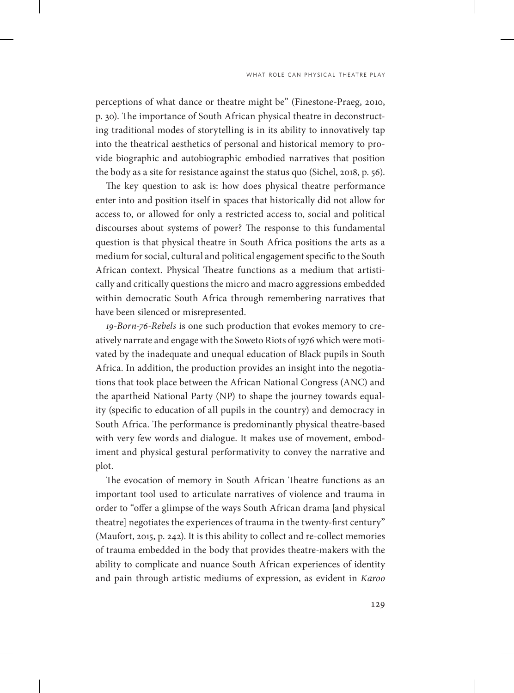perceptions of what dance or theatre might be" (Finestone-Praeg, 2010, p. 30). The importance of South African physical theatre in deconstructing traditional modes of storytelling is in its ability to innovatively tap into the theatrical aesthetics of personal and historical memory to provide biographic and autobiographic embodied narratives that position the body as a site for resistance against the status quo (Sichel, 2018, p. 56).

The key question to ask is: how does physical theatre performance enter into and position itself in spaces that historically did not allow for access to, or allowed for only a restricted access to, social and political discourses about systems of power? The response to this fundamental question is that physical theatre in South Africa positions the arts as a medium for social, cultural and political engagement specific to the South African context. Physical Theatre functions as a medium that artistically and critically questions the micro and macro aggressions embedded within democratic South Africa through remembering narratives that have been silenced or misrepresented.

*19-Born-76-Rebels* is one such production that evokes memory to creatively narrate and engage with the Soweto Riots of 1976 which were motivated by the inadequate and unequal education of Black pupils in South Africa. In addition, the production provides an insight into the negotiations that took place between the African National Congress (ANC) and the apartheid National Party (NP) to shape the journey towards equality (specific to education of all pupils in the country) and democracy in South Africa. The performance is predominantly physical theatre-based with very few words and dialogue. It makes use of movement, embodiment and physical gestural performativity to convey the narrative and plot.

The evocation of memory in South African Theatre functions as an important tool used to articulate narratives of violence and trauma in order to "offer a glimpse of the ways South African drama [and physical theatre] negotiates the experiences of trauma in the twenty-first century" (Maufort, 2015, p. 242). It is this ability to collect and re-collect memories of trauma embedded in the body that provides theatre-makers with the ability to complicate and nuance South African experiences of identity and pain through artistic mediums of expression, as evident in *Karoo*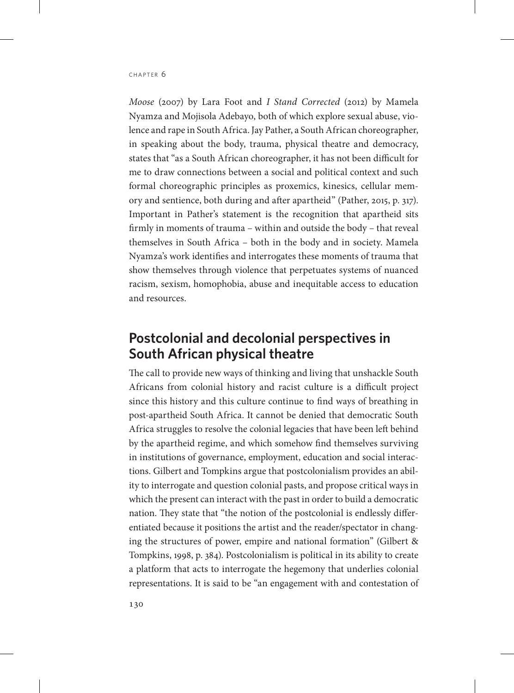*Moose* (2007) by Lara Foot and *I Stand Corrected* (2012) by Mamela Nyamza and Mojisola Adebayo, both of which explore sexual abuse, violence and rape in South Africa. Jay Pather, a South African choreographer, in speaking about the body, trauma, physical theatre and democracy, states that "as a South African choreographer, it has not been difficult for me to draw connections between a social and political context and such formal choreographic principles as proxemics, kinesics, cellular memory and sentience, both during and after apartheid" (Pather, 2015, p. 317). Important in Pather's statement is the recognition that apartheid sits firmly in moments of trauma – within and outside the body – that reveal themselves in South Africa – both in the body and in society. Mamela Nyamza's work identifies and interrogates these moments of trauma that show themselves through violence that perpetuates systems of nuanced racism, sexism, homophobia, abuse and inequitable access to education and resources.

# **Postcolonial and decolonial perspectives in South African physical theatre**

The call to provide new ways of thinking and living that unshackle South Africans from colonial history and racist culture is a difficult project since this history and this culture continue to find ways of breathing in post-apartheid South Africa. It cannot be denied that democratic South Africa struggles to resolve the colonial legacies that have been left behind by the apartheid regime, and which somehow find themselves surviving in institutions of governance, employment, education and social interactions. Gilbert and Tompkins argue that postcolonialism provides an ability to interrogate and question colonial pasts, and propose critical ways in which the present can interact with the past in order to build a democratic nation. They state that "the notion of the postcolonial is endlessly differentiated because it positions the artist and the reader/spectator in changing the structures of power, empire and national formation" (Gilbert & Tompkins, 1998, p. 384). Postcolonialism is political in its ability to create a platform that acts to interrogate the hegemony that underlies colonial representations. It is said to be "an engagement with and contestation of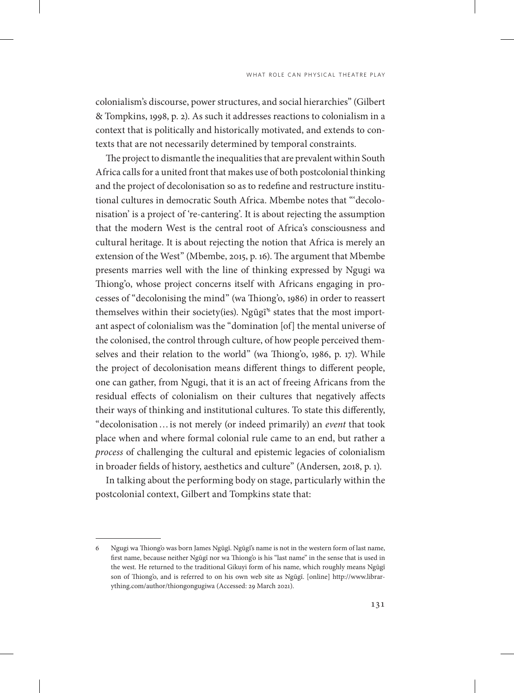colonialism's discourse, power structures, and social hierarchies" (Gilbert & Tompkins, 1998, p. 2). As such it addresses reactions to colonialism in a context that is politically and historically motivated, and extends to contexts that are not necessarily determined by temporal constraints.

The project to dismantle the inequalities that are prevalent within South Africa calls for a united front that makes use of both postcolonial thinking and the project of decolonisation so as to redefine and restructure institutional cultures in democratic South Africa. Mbembe notes that "'decolonisation' is a project of 're-cantering'. It is about rejecting the assumption that the modern West is the central root of Africa's consciousness and cultural heritage. It is about rejecting the notion that Africa is merely an extension of the West" (Mbembe, 2015, p. 16). The argument that Mbembe presents marries well with the line of thinking expressed by Ngugi wa Thiong'o, whose project concerns itself with Africans engaging in processes of "decolonising the mind" (wa Thiong'o, 1986) in order to reassert themselves within their society(ies). Ngũgĩ $^{\circ}$  states that the most important aspect of colonialism was the "domination [of] the mental universe of the colonised, the control through culture, of how people perceived themselves and their relation to the world" (wa Thiong'o, 1986, p. 17). While the project of decolonisation means different things to different people, one can gather, from Ngugi, that it is an act of freeing Africans from the residual effects of colonialism on their cultures that negatively affects their ways of thinking and institutional cultures. To state this differently, "decolonisation…is not merely (or indeed primarily) an *event* that took place when and where formal colonial rule came to an end, but rather a *process* of challenging the cultural and epistemic legacies of colonialism in broader fields of history, aesthetics and culture" (Andersen, 2018, p. 1).

In talking about the performing body on stage, particularly within the postcolonial context, Gilbert and Tompkins state that:

<sup>6</sup> Ngugi wa Thiong'o was born James Ngũgĩ. Ngũgĩ's name is not in the western form of last name, first name, because neither Ngũgĩ nor wa Thiong'o is his "last name" in the sense that is used in the west. He returned to the traditional Gikuyi form of his name, which roughly means Ngũgĩ son of Thiong'o, and is referred to on his own web site as Ngũgĩ. [online] http://www.librarything.com/author/thiongongugiwa (Accessed: 29 March 2021).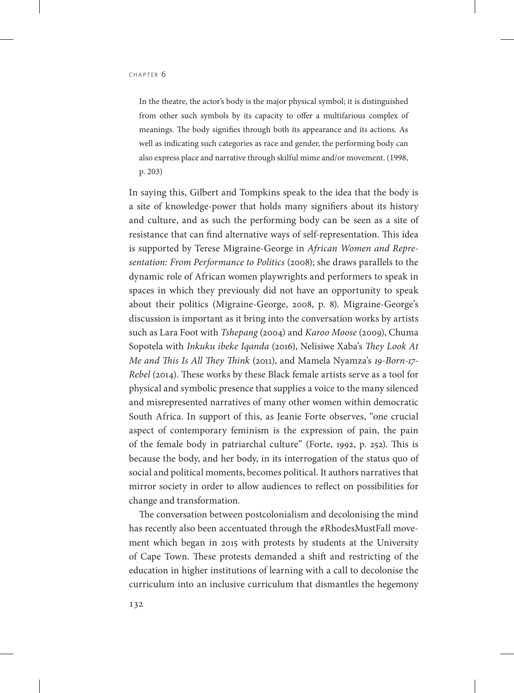In the theatre, the actor's body is the major physical symbol; it is distinguished from other such symbols by its capacity to offer a multifarious complex of meanings. The body signifies through both its appearance and its actions. As well as indicating such categories as race and gender, the performing body can also express place and narrative through skilful mime and/or movement. (1998, p. 203)

In saying this, Gilbert and Tompkins speak to the idea that the body is a site of knowledge-power that holds many signifiers about its history and culture, and as such the performing body can be seen as a site of resistance that can find alternative ways of self-representation. This idea is supported by Terese Migraine-George in *African Women and Representation: From Performance to Politics* (2008); she draws parallels to the dynamic role of African women playwrights and performers to speak in spaces in which they previously did not have an opportunity to speak about their politics (Migraine-George, 2008, p. 8). Migraine-George's discussion is important as it bring into the conversation works by artists such as Lara Foot with *Tshepang* (2004) and *Karoo Moose* (2009), Chuma Sopotela with *Inkuku ibeke Iqanda* (2016), Nelisiwe Xaba's *They Look At Me and This Is All They Think* (2011), and Mamela Nyamza's *19-Born-17- Rebel* (2014). These works by these Black female artists serve as a tool for physical and symbolic presence that supplies a voice to the many silenced and misrepresented narratives of many other women within democratic South Africa. In support of this, as Jeanie Forte observes, "one crucial aspect of contemporary feminism is the expression of pain, the pain of the female body in patriarchal culture" (Forte, 1992, p. 252). This is because the body, and her body, in its interrogation of the status quo of social and political moments, becomes political. It authors narratives that mirror society in order to allow audiences to reflect on possibilities for change and transformation.

The conversation between postcolonialism and decolonising the mind has recently also been accentuated through the #RhodesMustFall movement which began in 2015 with protests by students at the University of Cape Town. These protests demanded a shift and restricting of the education in higher institutions of learning with a call to decolonise the curriculum into an inclusive curriculum that dismantles the hegemony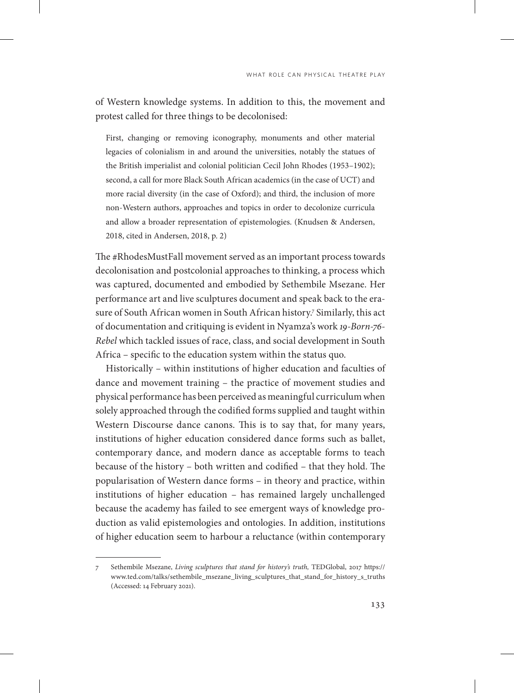of Western knowledge systems. In addition to this, the movement and protest called for three things to be decolonised:

First, changing or removing iconography, monuments and other material legacies of colonialism in and around the universities, notably the statues of the British imperialist and colonial politician Cecil John Rhodes (1953–1902); second, a call for more Black South African academics (in the case of UCT) and more racial diversity (in the case of Oxford); and third, the inclusion of more non-Western authors, approaches and topics in order to decolonize curricula and allow a broader representation of epistemologies. (Knudsen & Andersen, 2018, cited in Andersen, 2018, p. 2)

The #RhodesMustFall movement served as an important process towards decolonisation and postcolonial approaches to thinking, a process which was captured, documented and embodied by Sethembile Msezane. Her performance art and live sculptures document and speak back to the erasure of South African women in South African history.7 Similarly, this act of documentation and critiquing is evident in Nyamza's work *19-Born-76- Rebel* which tackled issues of race, class, and social development in South Africa – specific to the education system within the status quo.

Historically – within institutions of higher education and faculties of dance and movement training – the practice of movement studies and physical performance has been perceived as meaningful curriculum when solely approached through the codified forms supplied and taught within Western Discourse dance canons. This is to say that, for many years, institutions of higher education considered dance forms such as ballet, contemporary dance, and modern dance as acceptable forms to teach because of the history – both written and codified – that they hold. The popularisation of Western dance forms – in theory and practice, within institutions of higher education – has remained largely unchallenged because the academy has failed to see emergent ways of knowledge production as valid epistemologies and ontologies. In addition, institutions of higher education seem to harbour a reluctance (within contemporary

<sup>7</sup> Sethembile Msezane, *Living sculptures that stand for history's truth,* TEDGlobal, 2017 https:// www.ted.com/talks/sethembile\_msezane\_living\_sculptures\_that\_stand\_for\_history\_s\_truths (Accessed: 14 February 2021).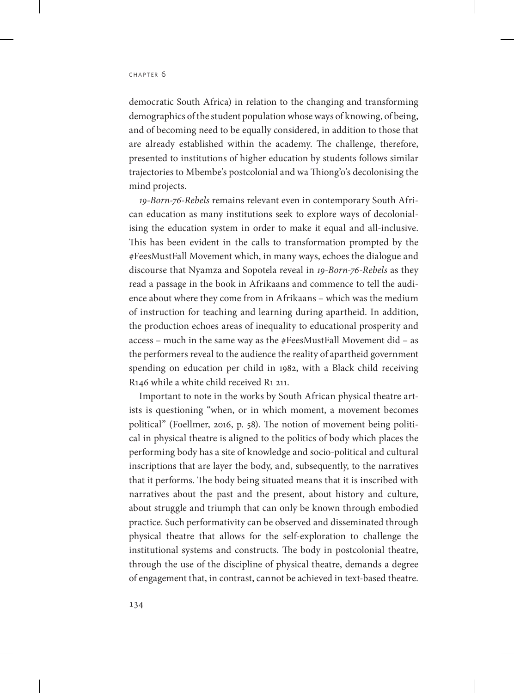democratic South Africa) in relation to the changing and transforming demographics of the student population whose ways of knowing, of being, and of becoming need to be equally considered, in addition to those that are already established within the academy. The challenge, therefore, presented to institutions of higher education by students follows similar trajectories to Mbembe's postcolonial and wa Thiong'o's decolonising the mind projects.

*19-Born-76-Rebels* remains relevant even in contemporary South African education as many institutions seek to explore ways of decolonialising the education system in order to make it equal and all-inclusive. This has been evident in the calls to transformation prompted by the #FeesMustFall Movement which, in many ways, echoes the dialogue and discourse that Nyamza and Sopotela reveal in *19-Born-76-Rebels* as they read a passage in the book in Afrikaans and commence to tell the audience about where they come from in Afrikaans – which was the medium of instruction for teaching and learning during apartheid. In addition, the production echoes areas of inequality to educational prosperity and access – much in the same way as the #FeesMustFall Movement did – as the performers reveal to the audience the reality of apartheid government spending on education per child in 1982, with a Black child receiving R146 while a white child received R1 211.

Important to note in the works by South African physical theatre artists is questioning "when, or in which moment, a movement becomes political" (Foellmer, 2016, p. 58). The notion of movement being political in physical theatre is aligned to the politics of body which places the performing body has a site of knowledge and socio-political and cultural inscriptions that are layer the body, and, subsequently, to the narratives that it performs. The body being situated means that it is inscribed with narratives about the past and the present, about history and culture, about struggle and triumph that can only be known through embodied practice. Such performativity can be observed and disseminated through physical theatre that allows for the self-exploration to challenge the institutional systems and constructs. The body in postcolonial theatre, through the use of the discipline of physical theatre, demands a degree of engagement that, in contrast, cannot be achieved in text-based theatre.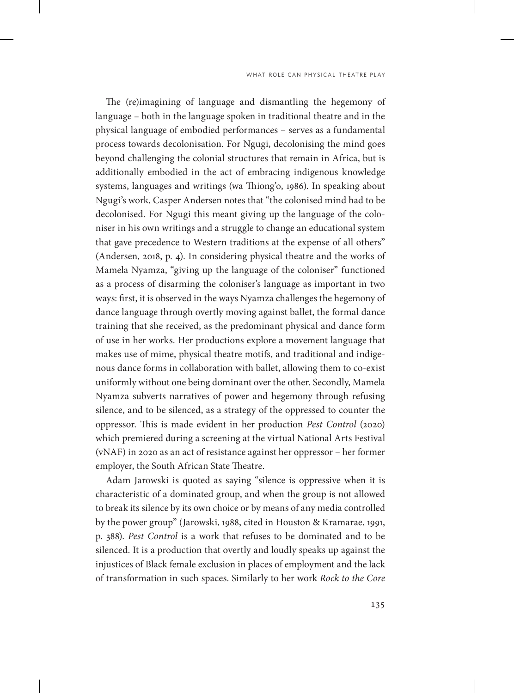The (re)imagining of language and dismantling the hegemony of language – both in the language spoken in traditional theatre and in the physical language of embodied performances – serves as a fundamental process towards decolonisation. For Ngugi, decolonising the mind goes beyond challenging the colonial structures that remain in Africa, but is additionally embodied in the act of embracing indigenous knowledge systems, languages and writings (wa Thiong'o, 1986). In speaking about Ngugi's work, Casper Andersen notes that "the colonised mind had to be decolonised. For Ngugi this meant giving up the language of the coloniser in his own writings and a struggle to change an educational system that gave precedence to Western traditions at the expense of all others" (Andersen, 2018, p. 4). In considering physical theatre and the works of Mamela Nyamza, "giving up the language of the coloniser" functioned as a process of disarming the coloniser's language as important in two ways: first, it is observed in the ways Nyamza challenges the hegemony of dance language through overtly moving against ballet, the formal dance training that she received, as the predominant physical and dance form of use in her works. Her productions explore a movement language that makes use of mime, physical theatre motifs, and traditional and indigenous dance forms in collaboration with ballet, allowing them to co-exist uniformly without one being dominant over the other. Secondly, Mamela Nyamza subverts narratives of power and hegemony through refusing silence, and to be silenced, as a strategy of the oppressed to counter the oppressor. This is made evident in her production *Pest Control* (2020) which premiered during a screening at the virtual National Arts Festival (vNAF) in 2020 as an act of resistance against her oppressor – her former employer, the South African State Theatre.

Adam Jarowski is quoted as saying "silence is oppressive when it is characteristic of a dominated group, and when the group is not allowed to break its silence by its own choice or by means of any media controlled by the power group" (Jarowski, 1988, cited in Houston & Kramarae, 1991, p. 388). *Pest Control* is a work that refuses to be dominated and to be silenced. It is a production that overtly and loudly speaks up against the injustices of Black female exclusion in places of employment and the lack of transformation in such spaces. Similarly to her work *Rock to the Core*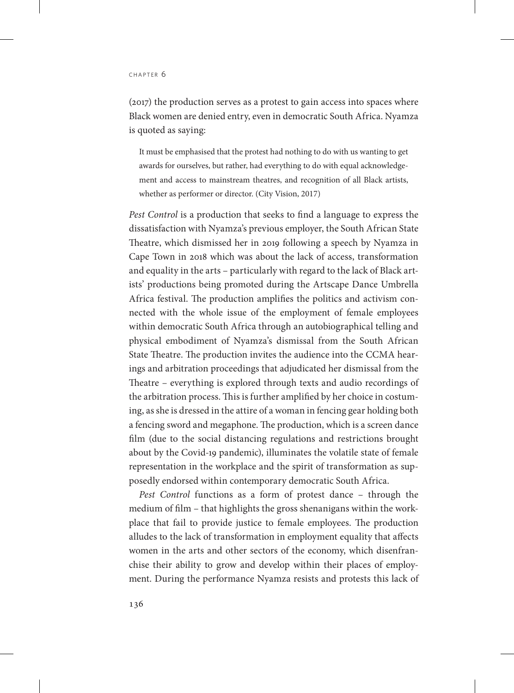(2017) the production serves as a protest to gain access into spaces where Black women are denied entry, even in democratic South Africa. Nyamza is quoted as saying:

It must be emphasised that the protest had nothing to do with us wanting to get awards for ourselves, but rather, had everything to do with equal acknowledgement and access to mainstream theatres, and recognition of all Black artists, whether as performer or director. (City Vision, 2017)

*Pest Control* is a production that seeks to find a language to express the dissatisfaction with Nyamza's previous employer, the South African State Theatre, which dismissed her in 2019 following a speech by Nyamza in Cape Town in 2018 which was about the lack of access, transformation and equality in the arts – particularly with regard to the lack of Black artists' productions being promoted during the Artscape Dance Umbrella Africa festival. The production amplifies the politics and activism connected with the whole issue of the employment of female employees within democratic South Africa through an autobiographical telling and physical embodiment of Nyamza's dismissal from the South African State Theatre. The production invites the audience into the CCMA hearings and arbitration proceedings that adjudicated her dismissal from the Theatre – everything is explored through texts and audio recordings of the arbitration process. This is further amplified by her choice in costuming, as she is dressed in the attire of a woman in fencing gear holding both a fencing sword and megaphone. The production, which is a screen dance film (due to the social distancing regulations and restrictions brought about by the Covid-19 pandemic), illuminates the volatile state of female representation in the workplace and the spirit of transformation as supposedly endorsed within contemporary democratic South Africa.

*Pest Control* functions as a form of protest dance – through the medium of film – that highlights the gross shenanigans within the workplace that fail to provide justice to female employees. The production alludes to the lack of transformation in employment equality that affects women in the arts and other sectors of the economy, which disenfranchise their ability to grow and develop within their places of employment. During the performance Nyamza resists and protests this lack of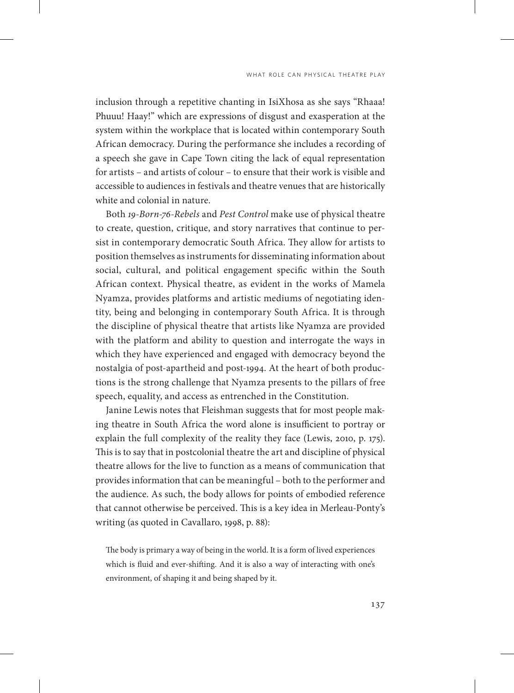inclusion through a repetitive chanting in IsiXhosa as she says "Rhaaa! Phuuu! Haay!" which are expressions of disgust and exasperation at the system within the workplace that is located within contemporary South African democracy. During the performance she includes a recording of a speech she gave in Cape Town citing the lack of equal representation for artists – and artists of colour – to ensure that their work is visible and accessible to audiences in festivals and theatre venues that are historically white and colonial in nature.

Both *19-Born-76-Rebels* and *Pest Control* make use of physical theatre to create, question, critique, and story narratives that continue to persist in contemporary democratic South Africa. They allow for artists to position themselves as instruments for disseminating information about social, cultural, and political engagement specific within the South African context. Physical theatre, as evident in the works of Mamela Nyamza, provides platforms and artistic mediums of negotiating identity, being and belonging in contemporary South Africa. It is through the discipline of physical theatre that artists like Nyamza are provided with the platform and ability to question and interrogate the ways in which they have experienced and engaged with democracy beyond the nostalgia of post-apartheid and post-1994. At the heart of both productions is the strong challenge that Nyamza presents to the pillars of free speech, equality, and access as entrenched in the Constitution.

Janine Lewis notes that Fleishman suggests that for most people making theatre in South Africa the word alone is insufficient to portray or explain the full complexity of the reality they face (Lewis, 2010, p. 175). This is to say that in postcolonial theatre the art and discipline of physical theatre allows for the live to function as a means of communication that provides information that can be meaningful – both to the performer and the audience. As such, the body allows for points of embodied reference that cannot otherwise be perceived. This is a key idea in Merleau-Ponty's writing (as quoted in Cavallaro, 1998, p. 88):

The body is primary a way of being in the world. It is a form of lived experiences which is fluid and ever-shifting. And it is also a way of interacting with one's environment, of shaping it and being shaped by it.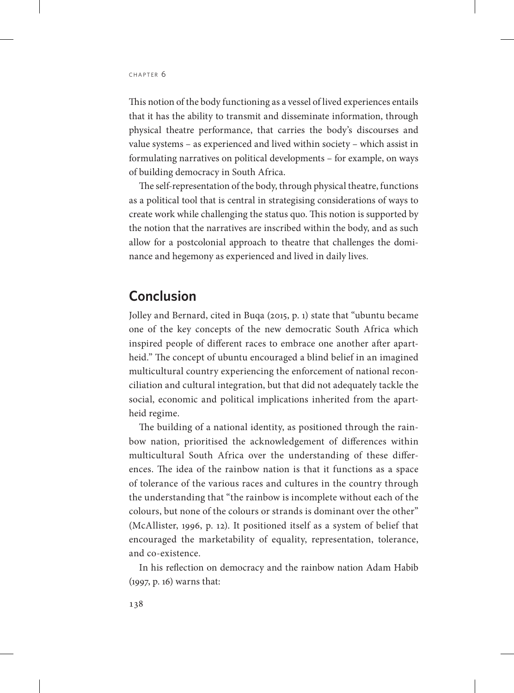This notion of the body functioning as a vessel of lived experiences entails that it has the ability to transmit and disseminate information, through physical theatre performance, that carries the body's discourses and value systems – as experienced and lived within society – which assist in formulating narratives on political developments – for example, on ways of building democracy in South Africa.

The self-representation of the body, through physical theatre, functions as a political tool that is central in strategising considerations of ways to create work while challenging the status quo. This notion is supported by the notion that the narratives are inscribed within the body, and as such allow for a postcolonial approach to theatre that challenges the dominance and hegemony as experienced and lived in daily lives.

## **Conclusion**

Jolley and Bernard, cited in Buqa (2015, p. 1) state that "ubuntu became one of the key concepts of the new democratic South Africa which inspired people of different races to embrace one another after apartheid." The concept of ubuntu encouraged a blind belief in an imagined multicultural country experiencing the enforcement of national reconciliation and cultural integration, but that did not adequately tackle the social, economic and political implications inherited from the apartheid regime.

The building of a national identity, as positioned through the rainbow nation, prioritised the acknowledgement of differences within multicultural South Africa over the understanding of these differences. The idea of the rainbow nation is that it functions as a space of tolerance of the various races and cultures in the country through the understanding that "the rainbow is incomplete without each of the colours, but none of the colours or strands is dominant over the other" (McAllister, 1996, p. 12). It positioned itself as a system of belief that encouraged the marketability of equality, representation, tolerance, and co-existence.

In his reflection on democracy and the rainbow nation Adam Habib (1997, p. 16) warns that: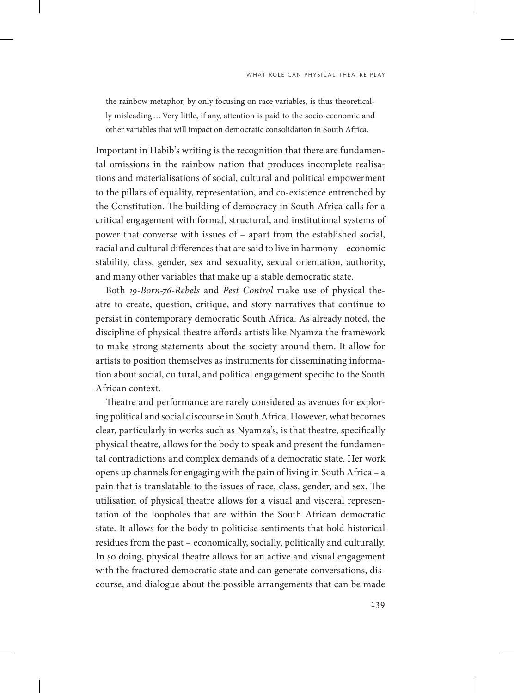the rainbow metaphor, by only focusing on race variables, is thus theoretically misleading…Very little, if any, attention is paid to the socio-economic and other variables that will impact on democratic consolidation in South Africa.

Important in Habib's writing is the recognition that there are fundamental omissions in the rainbow nation that produces incomplete realisations and materialisations of social, cultural and political empowerment to the pillars of equality, representation, and co-existence entrenched by the Constitution. The building of democracy in South Africa calls for a critical engagement with formal, structural, and institutional systems of power that converse with issues of – apart from the established social, racial and cultural differences that are said to live in harmony – economic stability, class, gender, sex and sexuality, sexual orientation, authority, and many other variables that make up a stable democratic state.

Both *19-Born-76-Rebels* and *Pest Control* make use of physical theatre to create, question, critique, and story narratives that continue to persist in contemporary democratic South Africa. As already noted, the discipline of physical theatre affords artists like Nyamza the framework to make strong statements about the society around them. It allow for artists to position themselves as instruments for disseminating information about social, cultural, and political engagement specific to the South African context.

Theatre and performance are rarely considered as avenues for exploring political and social discourse in South Africa. However, what becomes clear, particularly in works such as Nyamza's, is that theatre, specifically physical theatre, allows for the body to speak and present the fundamental contradictions and complex demands of a democratic state. Her work opens up channels for engaging with the pain of living in South Africa – a pain that is translatable to the issues of race, class, gender, and sex. The utilisation of physical theatre allows for a visual and visceral representation of the loopholes that are within the South African democratic state. It allows for the body to politicise sentiments that hold historical residues from the past – economically, socially, politically and culturally. In so doing, physical theatre allows for an active and visual engagement with the fractured democratic state and can generate conversations, discourse, and dialogue about the possible arrangements that can be made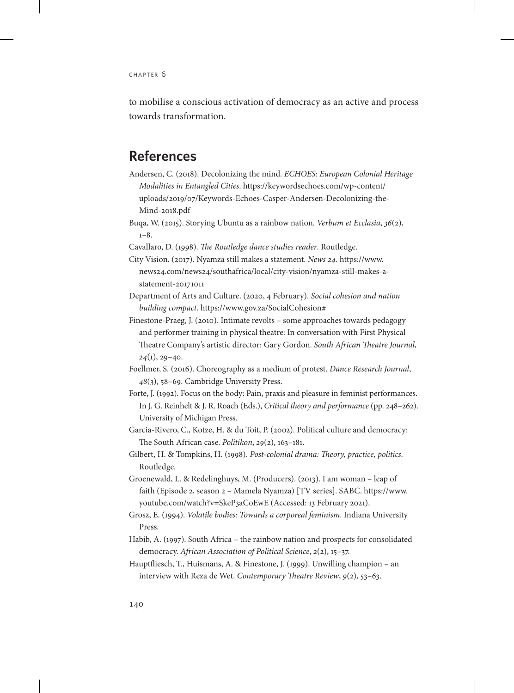to mobilise a conscious activation of democracy as an active and process towards transformation.

#### **References**

Andersen, C. (2018). Decolonizing the mind. *ECHOES: European Colonial Heritage Modalities in Entangled Cities*. [https://keywordsechoes.com/wp-content/](https://keywordsechoes.com/wp-content/uploads/2019/07/Keywords-Echoes-Casper-Andersen-Decolonizing-the-Mind-2018.pdf) [uploads/2019/07/Keywords-Echoes-Casper-Andersen-Decolonizing-the-](https://keywordsechoes.com/wp-content/uploads/2019/07/Keywords-Echoes-Casper-Andersen-Decolonizing-the-Mind-2018.pdf)[Mind-2018.pdf](https://keywordsechoes.com/wp-content/uploads/2019/07/Keywords-Echoes-Casper-Andersen-Decolonizing-the-Mind-2018.pdf)

Buqa, W. (2015). Storying Ubuntu as a rainbow nation. *Verbum et Ecclasia*, *36*(2),  $1 - 8$ 

- Cavallaro, D. (1998). *The Routledge dance studies reader*. Routledge.
- City Vision. (2017). Nyamza still makes a statement. *News 24.* [https://www.](https://www.news24.com/news24/southafrica/local/city-vision/nyamza-still-makes-astatement-20171011) [news24.com/news24/southafrica/local/city-vision/nyamza-still-makes-a](https://www.news24.com/news24/southafrica/local/city-vision/nyamza-still-makes-astatement-20171011)[statement-20171011](https://www.news24.com/news24/southafrica/local/city-vision/nyamza-still-makes-astatement-20171011)
- Department of Arts and Culture. (2020, 4 February). *Social cohesion and nation building compact*. https://www.gov.za/SocialCohesion#
- Finestone-Praeg, J. (2010). Intimate revolts some approaches towards pedagogy and performer training in physical theatre: In conversation with First Physical Theatre Company's artistic director: Gary Gordon. *South African Theatre Journal*, *24*(1), 29–40.
- Foellmer, S. (2016). Choreography as a medium of protest. *Dance Research Journal*, *48*(3), 58–69. Cambridge University Press.
- Forte, J. (1992). Focus on the body: Pain, praxis and pleasure in feminist performances. In J. G. Reinhelt & J. R. Roach (Eds.), *Critical theory and performance* (pp. 248–262). University of Michigan Press.
- Garcia-Rivero, C., Kotze, H. & du Toit, P. (2002). Political culture and democracy: The South African case. *Politikon*, *29*(2), 163–181.
- Gilbert, H. & Tompkins, H. (1998). *Post-colonial drama: Theory, practice, politics*. Routledge.
- Groenewald, L. & Redelinghuys, M. (Producers). (2013). I am woman leap of faith (Episode 2, season 2 – Mamela Nyamza) [TV series]. SABC. [https://www.](https://www.youtube.com/watch?v=SkeP3aCoEwE) [youtube.com/watch?v=SkeP3aCoEwE \(](https://www.youtube.com/watch?v=SkeP3aCoEwE)Accessed: 13 February 2021).
- Grosz, E. (1994). *Volatile bodies: Towards a corporeal feminism*. Indiana University Press.
- Habib, A. (1997). South Africa the rainbow nation and prospects for consolidated democracy. *African Association of Political Science*, *2*(2), 15–37.
- Hauptfliesch, T., Huismans, A. & Finestone, J. (1999). Unwilling champion an interview with Reza de Wet. *Contemporary Theatre Review*, *9*(2), 53–63.